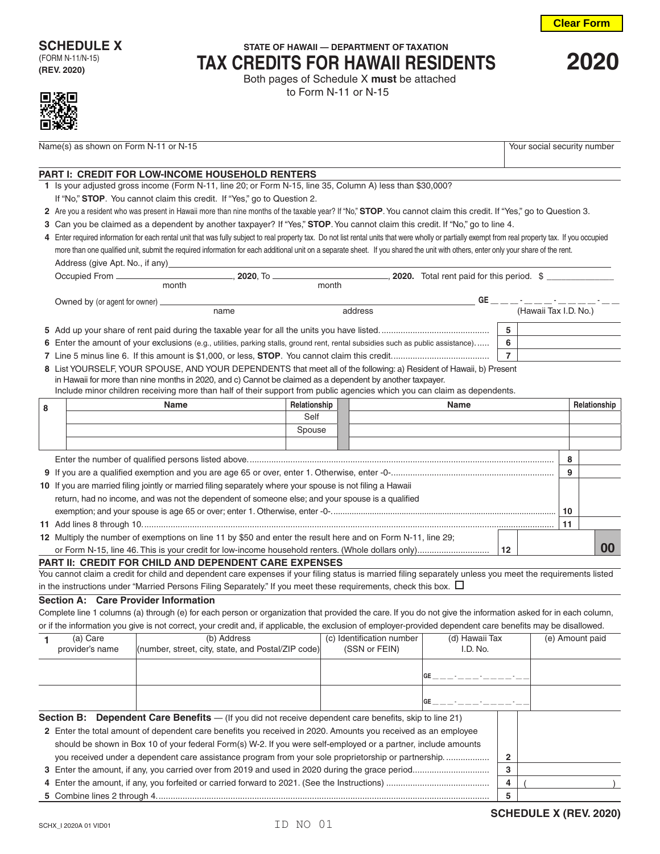

## **SCHEDULE X** STATE OF HAWAII — DEPARTMENT OF TAXATION **TAX CREDITS FOR HAWAII RESIDENTS <sup>2020</sup>** Both pages of Schedule X **must** be attached

to Form N-11 or N-15

| c |
|---|

Name(s) as shown on Form N-11 or N-15 Your social security number

## **PART I: CREDIT FOR LOW-INCOME HOUSEHOLD RENTERS**

- **1** Is your adjusted gross income (Form N-11, line 20; or Form N-15, line 35, Column A) less than \$30,000?
- If "No," **STOP**. You cannot claim this credit. If "Yes," go to Question 2.
- **2** Are you a resident who was present in Hawaii more than nine months of the taxable year? If "No," **STOP**. You cannot claim this credit. If "Yes," go to Question 3.
- **3** Can you be claimed as a dependent by another taxpayer? If "Yes," **STOP**. You cannot claim this credit. If "No," go to line 4.
- **4** Enter required information for each rental unit that was fully subject to real property tax. Do not list rental units that were wholly or partially exempt from real property tax. If you occupied more than one qualified unit, submit the required information for each additional unit on a separate sheet. If you shared the unit with others, enter only your share of the rent. Address (give Apt. No., if any)

|   |  | month                                                                                                                            | month        |      |                 |                                  |    |              |
|---|--|----------------------------------------------------------------------------------------------------------------------------------|--------------|------|-----------------|----------------------------------|----|--------------|
|   |  |                                                                                                                                  |              |      |                 | GE _ _ _ · _ _ _ _ _ _ _ _ _ _ _ |    |              |
|   |  | name                                                                                                                             | address      |      |                 | (Hawaii Tax I.D. No.)            |    |              |
|   |  |                                                                                                                                  |              |      | 5               |                                  |    |              |
|   |  | 6 Enter the amount of your exclusions (e.g., utilities, parking stalls, ground rent, rental subsidies such as public assistance) |              |      | 6               |                                  |    |              |
|   |  |                                                                                                                                  |              |      | $\overline{7}$  |                                  |    |              |
|   |  | 8 List YOURSELF, YOUR SPOUSE, AND YOUR DEPENDENTS that meet all of the following: a) Resident of Hawaii, b) Present              |              |      |                 |                                  |    |              |
|   |  | in Hawaii for more than nine months in 2020, and c) Cannot be claimed as a dependent by another taxpayer.                        |              |      |                 |                                  |    |              |
|   |  | Include minor children receiving more than half of their support from public agencies which you can claim as dependents.         |              |      |                 |                                  |    |              |
| 8 |  | <b>Name</b>                                                                                                                      | Relationship | Name |                 |                                  |    | Relationship |
|   |  |                                                                                                                                  | Self         |      |                 |                                  |    |              |
|   |  |                                                                                                                                  | Spouse       |      |                 |                                  |    |              |
|   |  |                                                                                                                                  |              |      |                 |                                  |    |              |
|   |  |                                                                                                                                  |              |      |                 |                                  | 8  |              |
|   |  |                                                                                                                                  |              |      |                 |                                  | 9  |              |
|   |  | 10 If you are married filing jointly or married filing separately where your spouse is not filing a Hawaii                       |              |      |                 |                                  |    |              |
|   |  | return, had no income, and was not the dependent of someone else; and your spouse is a qualified                                 |              |      |                 |                                  |    |              |
|   |  |                                                                                                                                  |              |      |                 |                                  |    |              |
|   |  |                                                                                                                                  |              |      |                 |                                  | 10 |              |
|   |  |                                                                                                                                  |              |      |                 |                                  | 11 |              |
|   |  | 12 Multiply the number of exemptions on line 11 by \$50 and enter the result here and on Form N-11, line 29;                     |              |      |                 |                                  |    |              |
|   |  |                                                                                                                                  |              |      | 12 <sup>2</sup> |                                  |    | 00           |

**PART II: CREDIT FOR CHILD AND DEPENDENT CARE EXPENSES**

You cannot claim a credit for child and dependent care expenses if your filing status is married filing separately unless you meet the requirements listed in the instructions under "Married Persons Filing Separately." If you meet these requirements, check this box.  $\Box$ 

## **Section A: Care Provider Information**

Complete line 1 columns (a) through (e) for each person or organization that provided the care. If you do not give the information asked for in each column, or if the information you give is not correct, your credit and, if applicable, the exclusion of employer-provided dependent care benefits may be disallowed.

|                                                                                                                | (a) Care                               | (b) Address                                        | (c) Identification number | (d) Hawaii Tax       |   |  | (e) Amount paid |
|----------------------------------------------------------------------------------------------------------------|----------------------------------------|----------------------------------------------------|---------------------------|----------------------|---|--|-----------------|
|                                                                                                                | provider's name                        | (number, street, city, state, and Postal/ZIP code) | (SSN or FEIN)             | I.D. No.             |   |  |                 |
|                                                                                                                |                                        |                                                    |                           |                      |   |  |                 |
|                                                                                                                | GE _ _ _ _ · _ _ _ · _ _ _ _ - _ - _ - |                                                    |                           |                      |   |  |                 |
|                                                                                                                |                                        |                                                    |                           |                      |   |  |                 |
|                                                                                                                |                                        |                                                    |                           | GE __-__-_-__-_-_-_- |   |  |                 |
| <b>Section B:</b> Dependent Care Benefits — (If you did not receive dependent care benefits, skip to line 21)  |                                        |                                                    |                           |                      |   |  |                 |
| 2 Enter the total amount of dependent care benefits you received in 2020. Amounts you received as an employee  |                                        |                                                    |                           |                      |   |  |                 |
| should be shown in Box 10 of your federal Form(s) W-2. If you were self-employed or a partner, include amounts |                                        |                                                    |                           |                      |   |  |                 |
| you received under a dependent care assistance program from your sole proprietorship or partnership            |                                        |                                                    |                           |                      |   |  |                 |
|                                                                                                                |                                        |                                                    |                           |                      | 3 |  |                 |
|                                                                                                                |                                        |                                                    |                           |                      | 4 |  |                 |
|                                                                                                                |                                        |                                                    |                           |                      | 5 |  |                 |